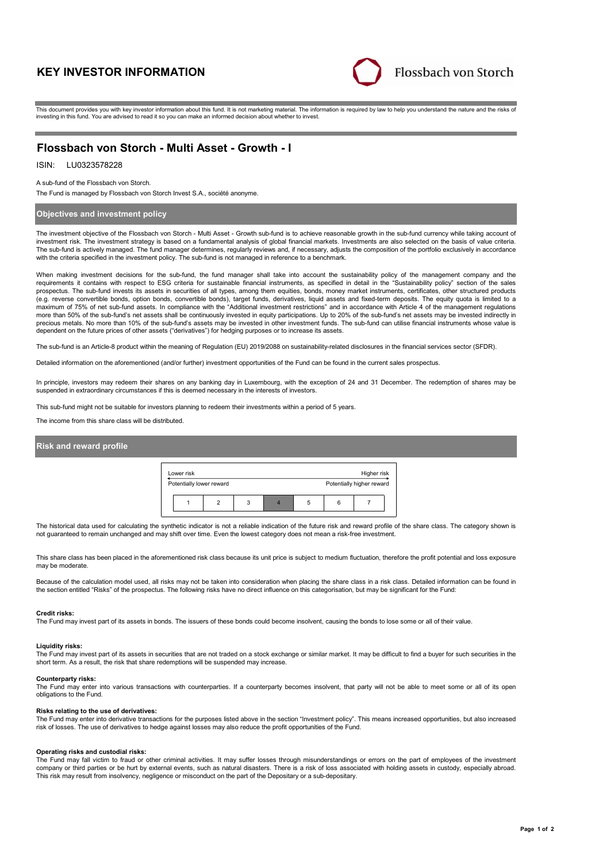# **KEY INVESTOR INFORMATION**



This document provides you with key investor information about this fund. It is not marketing material. The information is required by law to help you understand the nature and the risks of investing in this fund. You are advised to read it so you can make an informed decision about whether to invest.

## **Flossbach von Storch - Multi Asset - Growth - I**

### LU0323578228 ISIN:

A sub-fund of the Flossbach von Storch.

The Fund is managed by Flossbach von Storch Invest S.A., société anonyme.

### **Objectives and investment policy**

The investment objective of the Flossbach von Storch - Multi Asset - Growth sub-fund is to achieve reasonable growth in the sub-fund currency while taking account of investment risk. The investment strategy is based on a fundamental analysis of global financial markets. Investments are also selected on the basis of value criteria. The sub-fund is actively managed. The fund manager determines, regularly reviews and, if necessary, adjusts the composition of the portfolio exclusively in accordance with the criteria specified in the investment policy. The sub-fund is not managed in reference to a benchmark.

When making investment decisions for the sub-fund, the fund manager shall take into account the sustainability policy of the management company and the requirements it contains with respect to ESG criteria for sustainable financial instruments, as specified in detail in the "Sustainability policy" section of the sales<br>prospectus. The sub-fund invests its assets in securit (e.g. reverse convertible bonds, option bonds, convertible bonds), target funds, derivatives, liquid assets and fixed-term deposits. The equity quota is limited to a maximum of 75% of net sub-fund assets. In compliance with the "Additional investment restrictions" and in accordance with Article 4 of the management regulations more than 50% of the sub-fund's net assets shall be continuously invested in equity participations. Up to 20% of the sub-fund's net assets may be invested indirectly in precious metals. No more than 10% of the sub-fund's assets may be invested in other investment funds. The sub-fund can utilise financial instruments whose value is<br>dependent on the future prices of other assets ("derivativ

The sub-fund is an Article-8 product within the meaning of Regulation (EU) 2019/2088 on sustainability-related disclosures in the financial services sector (SFDR).

Detailed information on the aforementioned (and/or further) investment opportunities of the Fund can be found in the current sales prospectus.

In principle, investors may redeem their shares on any banking day in Luxembourg, with the exception of 24 and 31 December. The redemption of shares may be suspended in extraordinary circumstances if this is deemed necessary in the interests of investors.

This sub-fund might not be suitable for investors planning to redeem their investments within a period of 5 years.

The income from this share class will be distributed.

### **Risk and reward profile**

| Lower risk<br>Higher risk |                          |  |   |                           |   |   |  |  |
|---------------------------|--------------------------|--|---|---------------------------|---|---|--|--|
|                           | Potentially lower reward |  |   | Potentially higher reward |   |   |  |  |
|                           |                          |  | 3 |                           | 5 | ĥ |  |  |

The historical data used for calculating the synthetic indicator is not a reliable indication of the future risk and reward profile of the share class. The category shown is not guaranteed to remain unchanged and may shift over time. Even the lowest category does not mean a risk-free investment.

This share class has been placed in the aforementioned risk class because its unit price is subject to medium fluctuation, therefore the profit potential and loss exposure may be moderate

Because of the calculation model used, all risks may not be taken into consideration when placing the share class in a risk class. Detailed information can be found in<br>the section entitled "Risks" of the prospectus. The fo

### **Credit risks:**

The Fund may invest part of its assets in bonds. The issuers of these bonds could become insolvent, causing the bonds to lose some or all of their value.

## **Liquidity risks:**

The Fund may invest part of its assets in securities that are not traded on a stock exchange or similar market. It may be difficult to find a buyer for such securities in the short term. As a result, the risk that share redemptions will be suspended may increase.

**Counterparty risks:**

The Fund may enter into various transactions with counterparties. If a counterparty becomes insolvent, that party will not be able to meet some or all of its open obligations to the Fund.

### **Risks relating to the use of derivatives:**

The Fund may enter into derivative transactions for the purposes listed above in the section "Investment policy". This means increased opportunities, but also increased risk of losses. The use of derivatives to hedge against losses may also reduce the profit opportunities of the Fund.

### **Operating risks and custodial risks:**

The Fund may fall victim to fraud or other criminal activities. It may suffer losses through misunderstandings or errors on the part of employees of the investment company or third parties or be hurt by external events, such as natural disasters. There is a risk of loss associated with holding assets in custody, especially abroad. This risk may result from insolvency, negligence or misconduct on the part of the Depositary or a sub-depositary.